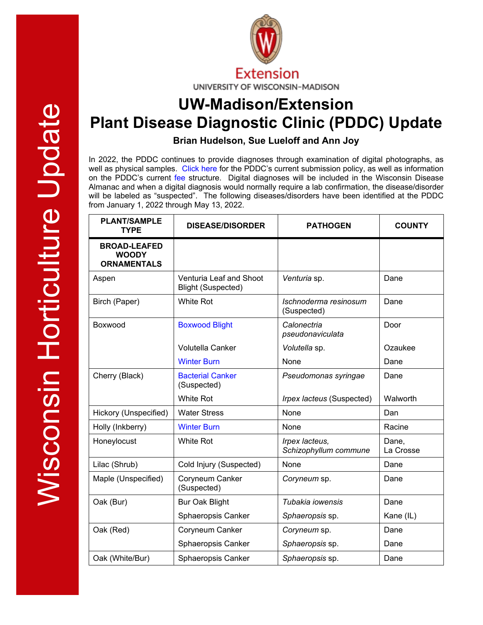

# **UW-Madison/Extension Plant Disease Diagnostic Clinic (PDDC) Update**

**Brian Hudelson, Sue Lueloff and Ann Joy**

In 2022, the PDDC continues to provide diagnoses through examination of digital photographs, as well as physical samples. [Click here](https://pddc.wisc.edu/2022/01/12/january-2022-plant-disease-diagnostics-clinic-services-for-2022/) for the PDDC's current submission policy, as well as information on the PDDC's current [fee](https://pddc.wisc.edu/services-fees/) structure. Digital diagnoses will be included in the Wisconsin Disease Almanac and when a digital diagnosis would normally require a lab confirmation, the disease/disorder will be labeled as "suspected". The following diseases/disorders have been identified at the PDDC from January 1, 2022 through May 13, 2022.

| <b>PLANT/SAMPLE</b><br><b>TYPE</b>                        | <b>DISEASE/DISORDER</b>                              | <b>PATHOGEN</b>                         | <b>COUNTY</b>      |
|-----------------------------------------------------------|------------------------------------------------------|-----------------------------------------|--------------------|
| <b>BROAD-LEAFED</b><br><b>WOODY</b><br><b>ORNAMENTALS</b> |                                                      |                                         |                    |
| Aspen                                                     | Venturia Leaf and Shoot<br><b>Blight (Suspected)</b> | Venturia sp.                            | Dane               |
| Birch (Paper)                                             | <b>White Rot</b>                                     | Ischnoderma resinosum<br>(Suspected)    | Dane               |
| Boxwood                                                   | <b>Boxwood Blight</b>                                | Calonectria<br>pseudonaviculata         | Door               |
|                                                           | <b>Volutella Canker</b>                              | Volutella sp.                           | Ozaukee            |
|                                                           | <b>Winter Burn</b>                                   | None                                    | Dane               |
| Cherry (Black)                                            | <b>Bacterial Canker</b><br>(Suspected)               | Pseudomonas syringae                    | Dane               |
|                                                           | <b>White Rot</b>                                     | Irpex lacteus (Suspected)               | Walworth           |
| Hickory (Unspecified)                                     | <b>Water Stress</b>                                  | None                                    | Dan                |
| Holly (Inkberry)                                          | <b>Winter Burn</b>                                   | None                                    | Racine             |
| Honeylocust                                               | <b>White Rot</b>                                     | Irpex lacteus,<br>Schizophyllum commune | Dane,<br>La Crosse |
| Lilac (Shrub)                                             | Cold Injury (Suspected)                              | None                                    | Dane               |
| Maple (Unspecified)                                       | Coryneum Canker<br>(Suspected)                       | Coryneum sp.                            | Dane               |
| Oak (Bur)                                                 | <b>Bur Oak Blight</b>                                | Tubakia iowensis                        | Dane               |
|                                                           | Sphaeropsis Canker                                   | Sphaeropsis sp.                         | Kane (IL)          |
| Oak (Red)                                                 | Coryneum Canker                                      | Coryneum sp.                            | Dane               |
|                                                           | Sphaeropsis Canker                                   | Sphaeropsis sp.                         | Dane               |
| Oak (White/Bur)                                           | Sphaeropsis Canker                                   | Sphaeropsis sp.                         | Dane               |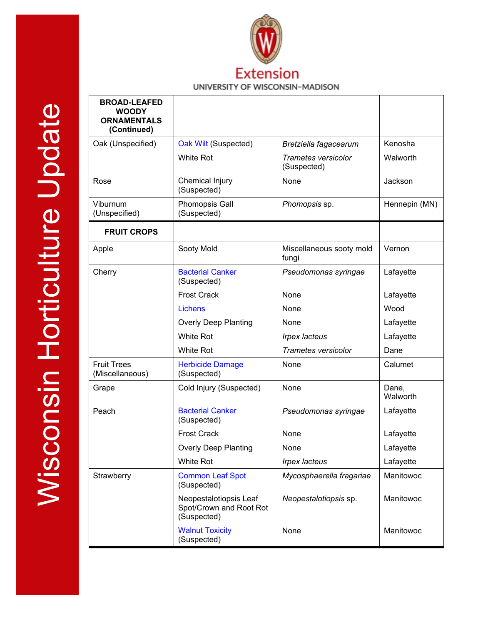

## **Extension** UNIVERSITY OF WISCONSIN-MADISON

| <b>BROAD-LEAFED</b><br><b>WOODY</b><br><b>ORNAMENTALS</b><br>(Continued) |                                                                  |                                           |                   |
|--------------------------------------------------------------------------|------------------------------------------------------------------|-------------------------------------------|-------------------|
| Oak (Unspecified)                                                        | Oak Wilt (Suspected)                                             | Bretziella fagacearum                     | Kenosha           |
|                                                                          | <b>White Rot</b>                                                 | <b>Trametes versicolor</b><br>(Suspected) | Walworth          |
| Rose                                                                     | Chemical Injury<br>(Suspected)                                   | None                                      | Jackson           |
| Viburnum<br>(Unspecified)                                                | Phomopsis Gall<br>(Suspected)                                    | Phomopsis sp.                             | Hennepin (MN)     |
| <b>FRUIT CROPS</b>                                                       |                                                                  |                                           |                   |
| Apple                                                                    | Sooty Mold                                                       | Miscellaneous sooty mold<br>fungi         | Vernon            |
| Cherry                                                                   | <b>Bacterial Canker</b><br>(Suspected)                           | Pseudomonas syringae                      | Lafayette         |
|                                                                          | <b>Frost Crack</b>                                               | None                                      | Lafayette         |
|                                                                          | <b>Lichens</b>                                                   | None                                      | Wood              |
|                                                                          | <b>Overly Deep Planting</b>                                      | None                                      | Lafayette         |
|                                                                          | <b>White Rot</b>                                                 | <b>Irpex lacteus</b>                      | Lafayette         |
|                                                                          | White Rot                                                        | <b>Trametes versicolor</b>                | Dane              |
| <b>Fruit Trees</b><br>(Miscellaneous)                                    | <b>Herbicide Damage</b><br>(Suspected)                           | None                                      | Calumet           |
| Grape                                                                    | Cold Injury (Suspected)                                          | None                                      | Dane,<br>Walworth |
| Peach                                                                    | <b>Bacterial Canker</b><br>(Suspected)                           | Pseudomonas syringae                      | Lafayette         |
|                                                                          | <b>Frost Crack</b>                                               | None                                      | Lafayette         |
|                                                                          | <b>Overly Deep Planting</b>                                      | None                                      | Lafayette         |
|                                                                          | White Rot                                                        | <b>Irpex lacteus</b>                      | Lafayette         |
| Strawberry                                                               | <b>Common Leaf Spot</b><br>(Suspected)                           | Mycosphaerella fragariae                  | Manitowoc         |
|                                                                          | Neopestalotiopsis Leaf<br>Spot/Crown and Root Rot<br>(Suspected) | Neopestalotiopsis sp.                     | Manitowoc         |
|                                                                          | <b>Walnut Toxicity</b><br>(Suspected)                            | None                                      | Manitowoc         |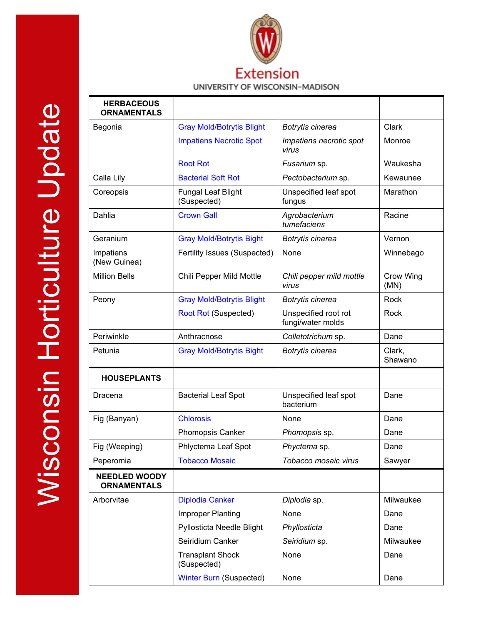

### UNIVERSITY OF WISCONSIN-MADISON

| <b>HERBACEOUS</b><br><b>ORNAMENTALS</b>    |                                          |                                           |                   |
|--------------------------------------------|------------------------------------------|-------------------------------------------|-------------------|
| Begonia                                    | <b>Gray Mold/Botrytis Blight</b>         | Botrytis cinerea                          | Clark             |
|                                            | <b>Impatiens Necrotic Spot</b>           | Impatiens necrotic spot<br>virus          | Monroe            |
|                                            | <b>Root Rot</b>                          | Fusarium sp.                              | Waukesha          |
| Calla Lily                                 | <b>Bacterial Soft Rot</b>                | Pectobacterium sp.                        | Kewaunee          |
| Coreopsis                                  | <b>Fungal Leaf Blight</b><br>(Suspected) | Unspecified leaf spot<br>fungus           | Marathon          |
| Dahlia                                     | <b>Crown Gall</b>                        | Agrobacterium<br>tumefaciens              | Racine            |
| Geranium                                   | <b>Gray Mold/Botrytis Bight</b>          | Botrytis cinerea                          | Vernon            |
| Impatiens<br>(New Guinea)                  | Fertility Issues (Suspected)             | None                                      | Winnebago         |
| <b>Million Bells</b>                       | Chili Pepper Mild Mottle                 | Chili pepper mild mottle<br>virus         | Crow Wing<br>(MN) |
| Peony                                      | <b>Gray Mold/Botrytis Blight</b>         | Botrytis cinerea                          | Rock              |
|                                            | Root Rot (Suspected)                     | Unspecified root rot<br>fungi/water molds | Rock              |
| Periwinkle                                 | Anthracnose                              | Colletotrichum sp.                        | Dane              |
| Petunia                                    | <b>Gray Mold/Botrytis Bight</b>          | Botrytis cinerea                          | Clark,<br>Shawano |
| <b>HOUSEPLANTS</b>                         |                                          |                                           |                   |
| Dracena                                    | <b>Bacterial Leaf Spot</b>               | Unspecified leaf spot<br>bacterium        | Dane              |
| Fig (Banyan)                               | <b>Chlorosis</b>                         | None                                      | Dane              |
|                                            | Phomopsis Canker                         | Phomopsis sp.                             | Dane              |
| Fig (Weeping)                              | Phlyctema Leaf Spot                      | Phyctema sp.                              | Dane              |
| Peperomia                                  | <b>Tobacco Mosaic</b>                    | Tobacco mosaic virus                      | Sawyer            |
| <b>NEEDLED WOODY</b><br><b>ORNAMENTALS</b> |                                          |                                           |                   |
| Arborvitae                                 | <b>Diplodia Canker</b>                   | Diplodia sp.                              | Milwaukee         |
|                                            | <b>Improper Planting</b>                 | None                                      | Dane              |
|                                            | Pyllosticta Needle Blight                | Phyllosticta                              | Dane              |
|                                            | Seiridium Canker                         | Seiridium sp.                             | Milwaukee         |
|                                            | <b>Transplant Shock</b><br>(Suspected)   | None                                      | Dane              |
|                                            | <b>Winter Burn (Suspected)</b>           | None                                      | Dane              |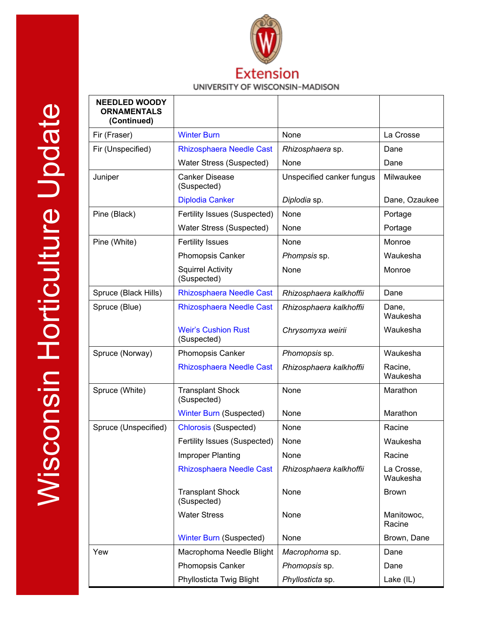

## UNIVERSITY OF WISCONSIN-MADISON

| <b>NEEDLED WOODY</b><br><b>ORNAMENTALS</b><br>(Continued) |                                           |                           |                        |
|-----------------------------------------------------------|-------------------------------------------|---------------------------|------------------------|
| Fir (Fraser)                                              | <b>Winter Burn</b>                        | None                      | La Crosse              |
| Fir (Unspecified)                                         | <b>Rhizosphaera Needle Cast</b>           | Rhizosphaera sp.          | Dane                   |
|                                                           | Water Stress (Suspected)                  | None                      | Dane                   |
| Juniper                                                   | <b>Canker Disease</b><br>(Suspected)      | Unspecified canker fungus | Milwaukee              |
|                                                           | <b>Diplodia Canker</b>                    | Diplodia sp.              | Dane, Ozaukee          |
| Pine (Black)                                              | Fertility Issues (Suspected)              | None                      | Portage                |
|                                                           | Water Stress (Suspected)                  | None                      | Portage                |
| Pine (White)                                              | <b>Fertility Issues</b>                   | None                      | Monroe                 |
|                                                           | <b>Phomopsis Canker</b>                   | Phompsis sp.              | Waukesha               |
|                                                           | <b>Squirrel Activity</b><br>(Suspected)   | None                      | Monroe                 |
| Spruce (Black Hills)                                      | <b>Rhizosphaera Needle Cast</b>           | Rhizosphaera kalkhoffii   | Dane                   |
| Spruce (Blue)                                             | <b>Rhizosphaera Needle Cast</b>           | Rhizosphaera kalkhoffii   | Dane,<br>Waukesha      |
|                                                           | <b>Weir's Cushion Rust</b><br>(Suspected) | Chrysomyxa weirii         | Waukesha               |
| Spruce (Norway)                                           | <b>Phomopsis Canker</b>                   | Phomopsis sp.             | Waukesha               |
|                                                           | <b>Rhizosphaera Needle Cast</b>           | Rhizosphaera kalkhoffii   | Racine,<br>Waukesha    |
| Spruce (White)                                            | <b>Transplant Shock</b><br>(Suspected)    | None                      | Marathon               |
|                                                           | <b>Winter Burn (Suspected)</b>            | None                      | Marathon               |
| Spruce (Unspecified)                                      | <b>Chlorosis (Suspected)</b>              | None                      | Racine                 |
|                                                           | Fertility Issues (Suspected)              | None                      | Waukesha               |
|                                                           | Improper Planting                         | None                      | Racine                 |
|                                                           | Rhizosphaera Needle Cast                  | Rhizosphaera kalkhoffii   | La Crosse,<br>Waukesha |
|                                                           | <b>Transplant Shock</b><br>(Suspected)    | None                      | <b>Brown</b>           |
|                                                           | <b>Water Stress</b>                       | None                      | Manitowoc,<br>Racine   |
|                                                           | <b>Winter Burn (Suspected)</b>            | None                      | Brown, Dane            |
| Yew                                                       | Macrophoma Needle Blight                  | Macrophoma sp.            | Dane                   |
|                                                           | Phomopsis Canker                          | Phomopsis sp.             | Dane                   |
|                                                           | Phyllosticta Twig Blight                  | Phyllosticta sp.          | Lake (IL)              |